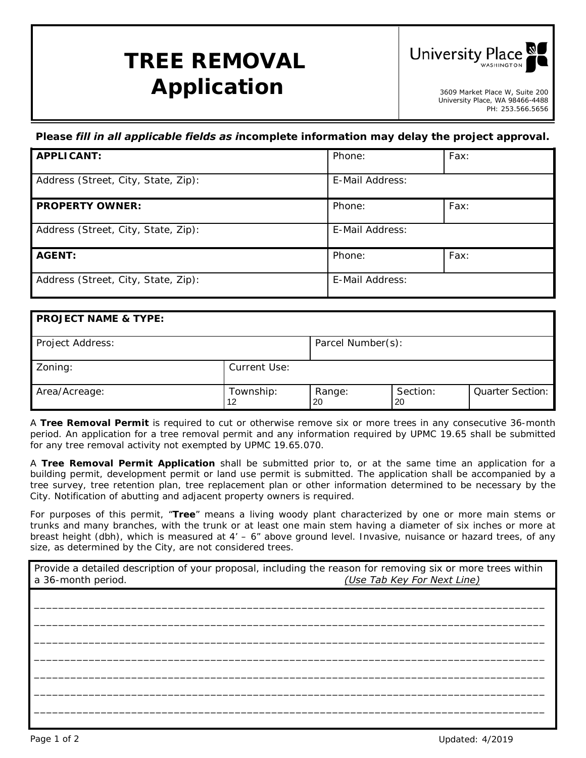## **TREE REMOVAL** *Application* and the sequence of  $\mathbf{A}$



University Place, WA 98466-4488 PH: 253.566.5656

## *Please fill in all applicable fields as incomplete information may delay the project approval.*

| <b>APPLICANT:</b>                   | Phone:          | Fax: |
|-------------------------------------|-----------------|------|
| Address (Street, City, State, Zip): | E-Mail Address: |      |
| <b>PROPERTY OWNER:</b>              | Phone:          | Fax: |
| Address (Street, City, State, Zip): | E-Mail Address: |      |
| <b>AGENT:</b>                       | Phone:          | Fax: |
| Address (Street, City, State, Zip): | E-Mail Address: |      |

## **PROJECT NAME & TYPE:** Project Address:  $\qquad \qquad$  Parcel Number(s): Zoning: **Current Use:** Area/Acreage: Township: Range: Section: Quarter Section:<br>12 20 20 12 20 20

A **Tree Removal Permit** is required to cut or otherwise remove six or more trees in any consecutive 36-month period. An application for a tree removal permit and any information required by UPMC 19.65 shall be submitted for any tree removal activity not exempted by UPMC 19.65.070.

A **Tree Removal Permit Application** shall be submitted prior to, or at the same time an application for a building permit, development permit or land use permit is submitted. The application shall be accompanied by a tree survey, tree retention plan, tree replacement plan or other information determined to be necessary by the City. Notification of abutting and adjacent property owners is required.

For purposes of this permit, "**Tree**" means a living woody plant characterized by one or more main stems or trunks and many branches, with the trunk or at least one main stem having a diameter of six inches or more at breast height (dbh), which is measured at 4' – 6" above ground level. Invasive, nuisance or hazard trees, of any size, as determined by the City, are not considered trees.

Provide a detailed description of your proposal, including the reason for removing six or more trees within a 36-month period. *(Use Tab Key For Next Line)*

\_\_\_\_\_\_\_\_\_\_\_\_\_\_\_\_\_\_\_\_\_\_\_\_\_\_\_\_\_\_\_\_\_\_\_\_\_\_\_\_\_\_\_\_\_\_\_\_\_\_\_\_\_\_\_\_\_\_\_\_\_\_\_\_\_\_\_\_\_\_\_\_\_\_\_\_\_\_\_\_\_\_\_\_ \_\_\_\_\_\_\_\_\_\_\_\_\_\_\_\_\_\_\_\_\_\_\_\_\_\_\_\_\_\_\_\_\_\_\_\_\_\_\_\_\_\_\_\_\_\_\_\_\_\_\_\_\_\_\_\_\_\_\_\_\_\_\_\_\_\_\_\_\_\_\_\_\_\_\_\_\_\_\_\_\_\_\_\_ \_\_\_\_\_\_\_\_\_\_\_\_\_\_\_\_\_\_\_\_\_\_\_\_\_\_\_\_\_\_\_\_\_\_\_\_\_\_\_\_\_\_\_\_\_\_\_\_\_\_\_\_\_\_\_\_\_\_\_\_\_\_\_\_\_\_\_\_\_\_\_\_\_\_\_\_\_\_\_\_\_\_\_\_ \_\_\_\_\_\_\_\_\_\_\_\_\_\_\_\_\_\_\_\_\_\_\_\_\_\_\_\_\_\_\_\_\_\_\_\_\_\_\_\_\_\_\_\_\_\_\_\_\_\_\_\_\_\_\_\_\_\_\_\_\_\_\_\_\_\_\_\_\_\_\_\_\_\_\_\_\_\_\_\_\_\_\_\_ \_\_\_\_\_\_\_\_\_\_\_\_\_\_\_\_\_\_\_\_\_\_\_\_\_\_\_\_\_\_\_\_\_\_\_\_\_\_\_\_\_\_\_\_\_\_\_\_\_\_\_\_\_\_\_\_\_\_\_\_\_\_\_\_\_\_\_\_\_\_\_\_\_\_\_\_\_\_\_\_\_\_\_\_ \_\_\_\_\_\_\_\_\_\_\_\_\_\_\_\_\_\_\_\_\_\_\_\_\_\_\_\_\_\_\_\_\_\_\_\_\_\_\_\_\_\_\_\_\_\_\_\_\_\_\_\_\_\_\_\_\_\_\_\_\_\_\_\_\_\_\_\_\_\_\_\_\_\_\_\_\_\_\_\_\_\_\_\_ \_\_\_\_\_\_\_\_\_\_\_\_\_\_\_\_\_\_\_\_\_\_\_\_\_\_\_\_\_\_\_\_\_\_\_\_\_\_\_\_\_\_\_\_\_\_\_\_\_\_\_\_\_\_\_\_\_\_\_\_\_\_\_\_\_\_\_\_\_\_\_\_\_\_\_\_\_\_\_\_\_\_\_\_